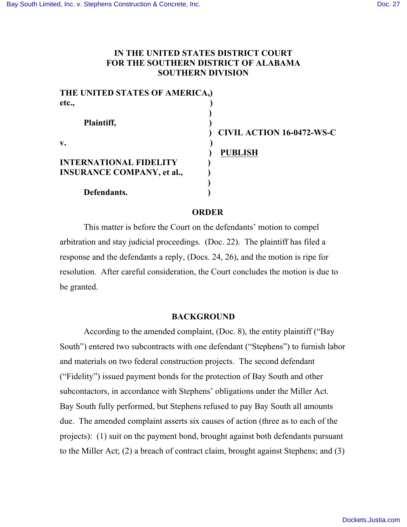# **IN THE UNITED STATES DISTRICT COURT FOR THE SOUTHERN DISTRICT OF ALABAMA SOUTHERN DIVISION**

| THE UNITED STATES OF AMERICA,)    |                                  |
|-----------------------------------|----------------------------------|
| etc.,                             |                                  |
|                                   |                                  |
| Plaintiff,                        |                                  |
|                                   | <b>CIVIL ACTION 16-0472-WS-C</b> |
| V.                                |                                  |
|                                   | <b>PUBLISH</b>                   |
| <b>INTERNATIONAL FIDELITY</b>     |                                  |
| <b>INSURANCE COMPANY, et al.,</b> |                                  |
|                                   |                                  |
| Defendants.                       |                                  |

## **ORDER**

This matter is before the Court on the defendants' motion to compel arbitration and stay judicial proceedings. (Doc. 22). The plaintiff has filed a response and the defendants a reply, (Docs. 24, 26), and the motion is ripe for resolution. After careful consideration, the Court concludes the motion is due to be granted.

#### **BACKGROUND**

According to the amended complaint, (Doc. 8), the entity plaintiff ("Bay South") entered two subcontracts with one defendant ("Stephens") to furnish labor and materials on two federal construction projects. The second defendant ("Fidelity") issued payment bonds for the protection of Bay South and other subcontactors, in accordance with Stephens' obligations under the Miller Act. Bay South fully performed, but Stephens refused to pay Bay South all amounts due. The amended complaint asserts six causes of action (three as to each of the projects): (1) suit on the payment bond, brought against both defendants pursuant to the Miller Act; (2) a breach of contract claim, brought against Stephens; and (3)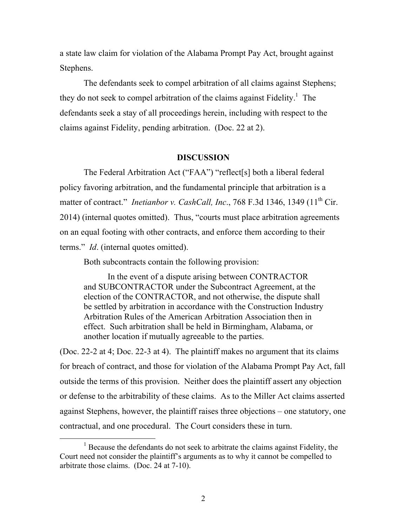a state law claim for violation of the Alabama Prompt Pay Act, brought against Stephens.

The defendants seek to compel arbitration of all claims against Stephens; they do not seek to compel arbitration of the claims against Fidelity.<sup>1</sup> The defendants seek a stay of all proceedings herein, including with respect to the claims against Fidelity, pending arbitration. (Doc. 22 at 2).

#### **DISCUSSION**

The Federal Arbitration Act ("FAA") "reflect[s] both a liberal federal policy favoring arbitration, and the fundamental principle that arbitration is a matter of contract." *Inetianbor v. CashCall, Inc.*, 768 F.3d 1346, 1349 (11<sup>th</sup> Cir. 2014) (internal quotes omitted). Thus, "courts must place arbitration agreements on an equal footing with other contracts, and enforce them according to their terms." *Id*. (internal quotes omitted).

Both subcontracts contain the following provision:

In the event of a dispute arising between CONTRACTOR and SUBCONTRACTOR under the Subcontract Agreement, at the election of the CONTRACTOR, and not otherwise, the dispute shall be settled by arbitration in accordance with the Construction Industry Arbitration Rules of the American Arbitration Association then in effect. Such arbitration shall be held in Birmingham, Alabama, or another location if mutually agreeable to the parties.

(Doc. 22-2 at 4; Doc. 22-3 at 4). The plaintiff makes no argument that its claims for breach of contract, and those for violation of the Alabama Prompt Pay Act, fall outside the terms of this provision. Neither does the plaintiff assert any objection or defense to the arbitrability of these claims. As to the Miller Act claims asserted against Stephens, however, the plaintiff raises three objections – one statutory, one contractual, and one procedural. The Court considers these in turn.

 $<sup>1</sup>$  Because the defendants do not seek to arbitrate the claims against Fidelity, the</sup> Court need not consider the plaintiff's arguments as to why it cannot be compelled to arbitrate those claims. (Doc. 24 at 7-10).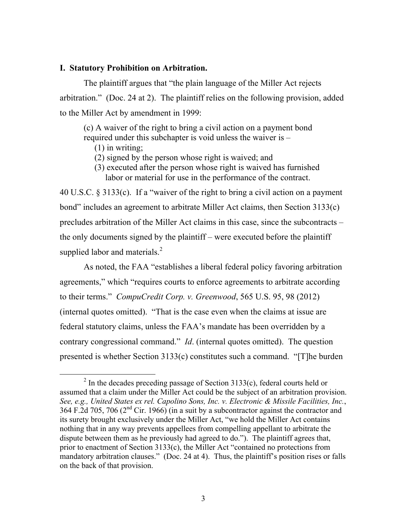## **I. Statutory Prohibition on Arbitration.**

The plaintiff argues that "the plain language of the Miller Act rejects arbitration." (Doc. 24 at 2). The plaintiff relies on the following provision, added to the Miller Act by amendment in 1999:

(c) A waiver of the right to bring a civil action on a payment bond required under this subchapter is void unless the waiver is –

(1) in writing;

(2) signed by the person whose right is waived; and

 (3) executed after the person whose right is waived has furnished labor or material for use in the performance of the contract.

40 U.S.C. § 3133(c). If a "waiver of the right to bring a civil action on a payment bond" includes an agreement to arbitrate Miller Act claims, then Section 3133(c) precludes arbitration of the Miller Act claims in this case, since the subcontracts – the only documents signed by the plaintiff – were executed before the plaintiff supplied labor and materials.<sup>2</sup>

As noted, the FAA "establishes a liberal federal policy favoring arbitration agreements," which "requires courts to enforce agreements to arbitrate according to their terms." *CompuCredit Corp. v. Greenwood*, 565 U.S. 95, 98 (2012) (internal quotes omitted). "That is the case even when the claims at issue are federal statutory claims, unless the FAA's mandate has been overridden by a contrary congressional command." *Id*. (internal quotes omitted). The question presented is whether Section 3133(c) constitutes such a command. "[T]he burden

 $^{2}$  In the decades preceding passage of Section 3133(c), federal courts held or assumed that a claim under the Miller Act could be the subject of an arbitration provision. *See, e.g., United States ex rel. Capolino Sons, Inc. v. Electronic & Missile Facilities, Inc.*, 364 F.2d 705, 706 ( $2<sup>nd</sup>$  Cir. 1966) (in a suit by a subcontractor against the contractor and its surety brought exclusively under the Miller Act, "we hold the Miller Act contains nothing that in any way prevents appellees from compelling appellant to arbitrate the dispute between them as he previously had agreed to do."). The plaintiff agrees that, prior to enactment of Section 3133(c), the Miller Act "contained no protections from mandatory arbitration clauses." (Doc. 24 at 4). Thus, the plaintiff's position rises or falls on the back of that provision.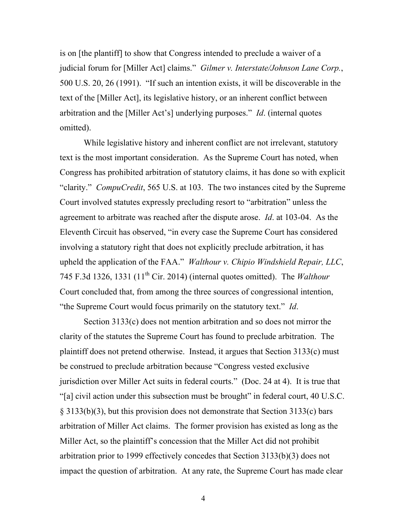is on [the plantiff] to show that Congress intended to preclude a waiver of a judicial forum for [Miller Act] claims." *Gilmer v. Interstate/Johnson Lane Corp.*, 500 U.S. 20, 26 (1991). "If such an intention exists, it will be discoverable in the text of the [Miller Act], its legislative history, or an inherent conflict between arbitration and the [Miller Act's] underlying purposes." *Id*. (internal quotes omitted).

While legislative history and inherent conflict are not irrelevant, statutory text is the most important consideration. As the Supreme Court has noted, when Congress has prohibited arbitration of statutory claims, it has done so with explicit "clarity." *CompuCredit*, 565 U.S. at 103. The two instances cited by the Supreme Court involved statutes expressly precluding resort to "arbitration" unless the agreement to arbitrate was reached after the dispute arose. *Id*. at 103-04. As the Eleventh Circuit has observed, "in every case the Supreme Court has considered involving a statutory right that does not explicitly preclude arbitration, it has upheld the application of the FAA." *Walthour v. Chipio Windshield Repair, LLC*, 745 F.3d 1326, 1331 (11th Cir. 2014) (internal quotes omitted). The *Walthour*  Court concluded that, from among the three sources of congressional intention, "the Supreme Court would focus primarily on the statutory text." *Id*.

Section 3133(c) does not mention arbitration and so does not mirror the clarity of the statutes the Supreme Court has found to preclude arbitration. The plaintiff does not pretend otherwise. Instead, it argues that Section 3133(c) must be construed to preclude arbitration because "Congress vested exclusive jurisdiction over Miller Act suits in federal courts." (Doc. 24 at 4). It is true that "[a] civil action under this subsection must be brought" in federal court, 40 U.S.C. § 3133(b)(3), but this provision does not demonstrate that Section 3133(c) bars arbitration of Miller Act claims. The former provision has existed as long as the Miller Act, so the plaintiff's concession that the Miller Act did not prohibit arbitration prior to 1999 effectively concedes that Section 3133(b)(3) does not impact the question of arbitration. At any rate, the Supreme Court has made clear

4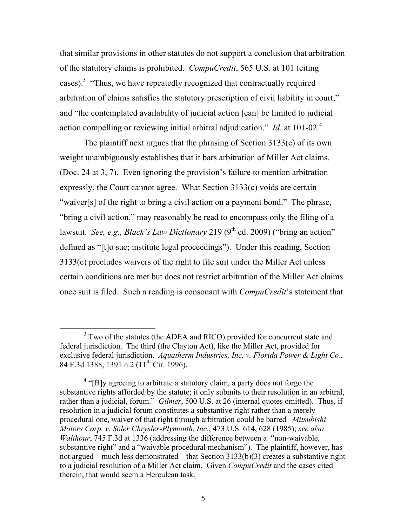that similar provisions in other statutes do not support a conclusion that arbitration of the statutory claims is prohibited. *CompuCredit*, 565 U.S. at 101 (citing cases).<sup>3</sup> "Thus, we have repeatedly recognized that contractually required arbitration of claims satisfies the statutory prescription of civil liability in court," and "the contemplated availability of judicial action [can] be limited to judicial action compelling or reviewing initial arbitral adjudication." *Id*. at 101-02.<sup>4</sup>

The plaintiff next argues that the phrasing of Section 3133(c) of its own weight unambiguously establishes that it bars arbitration of Miller Act claims. (Doc. 24 at 3, 7). Even ignoring the provision's failure to mention arbitration expressly, the Court cannot agree. What Section 3133(c) voids are certain "waiver[s] of the right to bring a civil action on a payment bond." The phrase, "bring a civil action," may reasonably be read to encompass only the filing of a lawsuit. *See, e.g., Black's Law Dictionary* 219 (9<sup>th</sup> ed. 2009) ("bring an action" defined as "[t]o sue; institute legal proceedings"). Under this reading, Section 3133(c) precludes waivers of the right to file suit under the Miller Act unless certain conditions are met but does not restrict arbitration of the Miller Act claims once suit is filed. Such a reading is consonant with *CompuCredit*'s statement that

<sup>&</sup>lt;sup>3</sup> Two of the statutes (the ADEA and RICO) provided for concurrent state and federal jurisdiction. The third (the Clayton Act), like the Miller Act, provided for exclusive federal jurisdiction. *Aquatherm Industries, Inc. v. Florida Power & Light Co*., 84 F.3d 1388, 1391 n.2 (11<sup>th</sup> Cir. 1996).

 $4$  "[B]y agreeing to arbitrate a statutory claim, a party does not forgo the substantive rights afforded by the statute; it only submits to their resolution in an arbitral, rather than a judicial, forum." *Gilmer*, 500 U.S. at 26 (internal quotes omitted). Thus, if resolution in a judicial forum constitutes a substantive right rather than a merely procedural one, waiver of that right through arbitration could be barred*. Mitsubishi Motors Corp. v. Soler Chrysler-Plymouth, Inc*., 473 U.S. 614, 628 (1985); *see also Walthour*, 745 F.3d at 1336 (addressing the difference between a "non-waivable, substantive right" and a "waivable procedural mechanism"). The plaintiff, however, has not argued – much less demonstrated – that Section 3133(b)(3) creates a substantive right to a judicial resolution of a Miller Act claim. Given *CompuCredit* and the cases cited therein, that would seem a Herculean task.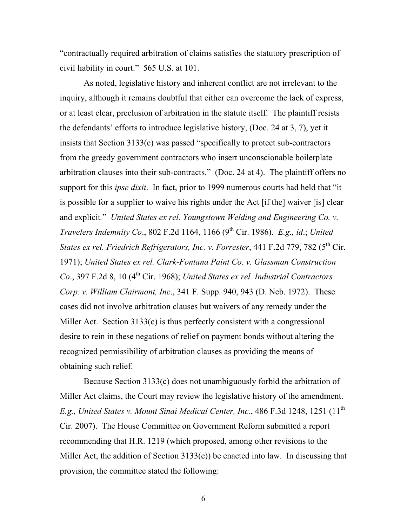"contractually required arbitration of claims satisfies the statutory prescription of civil liability in court." 565 U.S. at 101.

As noted, legislative history and inherent conflict are not irrelevant to the inquiry, although it remains doubtful that either can overcome the lack of express, or at least clear, preclusion of arbitration in the statute itself. The plaintiff resists the defendants' efforts to introduce legislative history, (Doc. 24 at 3, 7), yet it insists that Section 3133(c) was passed "specifically to protect sub-contractors from the greedy government contractors who insert unconscionable boilerplate arbitration clauses into their sub-contracts." (Doc. 24 at 4). The plaintiff offers no support for this *ipse dixit*. In fact, prior to 1999 numerous courts had held that "it is possible for a supplier to waive his rights under the Act [if the] waiver [is] clear and explicit*.*" *United States ex rel. Youngstown Welding and Engineering Co. v. Travelers Indemnity Co.*, 802 F.2d 1164, 1166 (9<sup>th</sup> Cir. 1986). *E.g., id.; United States ex rel. Friedrich Refrigerators, Inc. v. Forrester*, 441 F.2d 779, 782 (5<sup>th</sup> Cir. 1971); *United States ex rel. Clark-Fontana Paint Co. v. Glassman Construction Co.*, 397 F.2d 8, 10 (4<sup>th</sup> Cir. 1968); *United States ex rel. Industrial Contractors Corp. v. William Clairmont, Inc*., 341 F. Supp. 940, 943 (D. Neb. 1972). These cases did not involve arbitration clauses but waivers of any remedy under the Miller Act. Section 3133(c) is thus perfectly consistent with a congressional desire to rein in these negations of relief on payment bonds without altering the recognized permissibility of arbitration clauses as providing the means of obtaining such relief.

Because Section 3133(c) does not unambiguously forbid the arbitration of Miller Act claims, the Court may review the legislative history of the amendment. *E.g., United States v. Mount Sinai Medical Center, Inc., 486 F.3d 1248, 1251* (11<sup>th</sup> Cir. 2007). The House Committee on Government Reform submitted a report recommending that H.R. 1219 (which proposed, among other revisions to the Miller Act, the addition of Section 3133(c)) be enacted into law. In discussing that provision, the committee stated the following:

6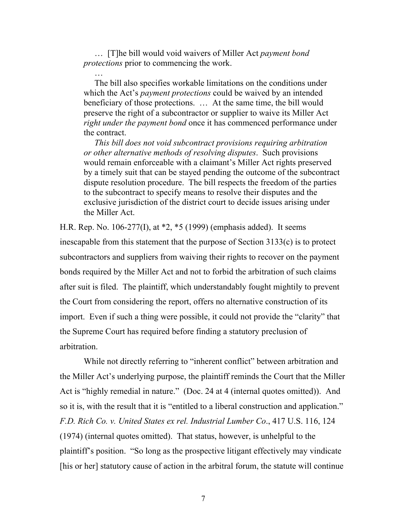… [T]he bill would void waivers of Miller Act *payment bond protections* prior to commencing the work.

…

 The bill also specifies workable limitations on the conditions under which the Act's *payment protections* could be waived by an intended beneficiary of those protections. … At the same time, the bill would preserve the right of a subcontractor or supplier to waive its Miller Act *right under the payment bond* once it has commenced performance under the contract.

 *This bill does not void subcontract provisions requiring arbitration or other alternative methods of resolving disputes*. Such provisions would remain enforceable with a claimant's Miller Act rights preserved by a timely suit that can be stayed pending the outcome of the subcontract dispute resolution procedure. The bill respects the freedom of the parties to the subcontract to specify means to resolve their disputes and the exclusive jurisdiction of the district court to decide issues arising under the Miller Act.

H.R. Rep. No. 106-277(I), at \*2, \*5 (1999) (emphasis added). It seems inescapable from this statement that the purpose of Section 3133(c) is to protect subcontractors and suppliers from waiving their rights to recover on the payment bonds required by the Miller Act and not to forbid the arbitration of such claims after suit is filed. The plaintiff, which understandably fought mightily to prevent the Court from considering the report, offers no alternative construction of its import. Even if such a thing were possible, it could not provide the "clarity" that the Supreme Court has required before finding a statutory preclusion of arbitration.

While not directly referring to "inherent conflict" between arbitration and the Miller Act's underlying purpose, the plaintiff reminds the Court that the Miller Act is "highly remedial in nature." (Doc. 24 at 4 (internal quotes omitted)). And so it is, with the result that it is "entitled to a liberal construction and application." *F.D. Rich Co. v. United States ex rel. Industrial Lumber Co*., 417 U.S. 116, 124 (1974) (internal quotes omitted). That status, however, is unhelpful to the plaintiff's position. "So long as the prospective litigant effectively may vindicate [his or her] statutory cause of action in the arbitral forum, the statute will continue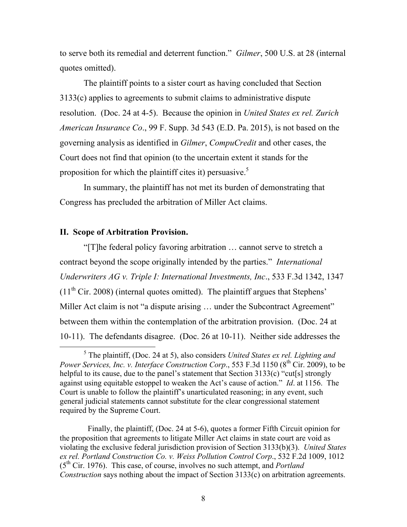to serve both its remedial and deterrent function." *Gilmer*, 500 U.S. at 28 (internal quotes omitted).

The plaintiff points to a sister court as having concluded that Section 3133(c) applies to agreements to submit claims to administrative dispute resolution. (Doc. 24 at 4-5). Because the opinion in *United States ex rel. Zurich American Insurance Co*., 99 F. Supp. 3d 543 (E.D. Pa. 2015), is not based on the governing analysis as identified in *Gilmer*, *CompuCredit* and other cases, the Court does not find that opinion (to the uncertain extent it stands for the proposition for which the plaintiff cites it) persuasive.<sup>5</sup>

In summary, the plaintiff has not met its burden of demonstrating that Congress has precluded the arbitration of Miller Act claims.

## **II. Scope of Arbitration Provision.**

"[T]he federal policy favoring arbitration … cannot serve to stretch a contract beyond the scope originally intended by the parties." *International Underwriters AG v. Triple I: International Investments, Inc*., 533 F.3d 1342, 1347  $(11<sup>th</sup> Cir. 2008)$  (internal quotes omitted). The plaintiff argues that Stephens' Miller Act claim is not "a dispute arising ... under the Subcontract Agreement" between them within the contemplation of the arbitration provision. (Doc. 24 at 10-11). The defendants disagree. (Doc. 26 at 10-11). Neither side addresses the

 <sup>5</sup> The plaintiff, (Doc. 24 at 5), also considers *United States ex rel. Lighting and Power Services, Inc. v. Interface Construction Corp.*, 553 F.3d 1150 (8<sup>th</sup> Cir. 2009), to be helpful to its cause, due to the panel's statement that Section 3133(c) "cut[s] strongly against using equitable estoppel to weaken the Act's cause of action." *Id*. at 1156. The Court is unable to follow the plaintiff's unarticulated reasoning; in any event, such general judicial statements cannot substitute for the clear congressional statement required by the Supreme Court.

Finally, the plaintiff, (Doc. 24 at 5-6), quotes a former Fifth Circuit opinion for the proposition that agreements to litigate Miller Act claims in state court are void as violating the exclusive federal jurisdiction provision of Section 3133(b)(3). *United States ex rel. Portland Construction Co. v. Weiss Pollution Control Corp*., 532 F.2d 1009, 1012 (5th Cir. 1976). This case, of course, involves no such attempt, and *Portland Construction* says nothing about the impact of Section 3133(c) on arbitration agreements.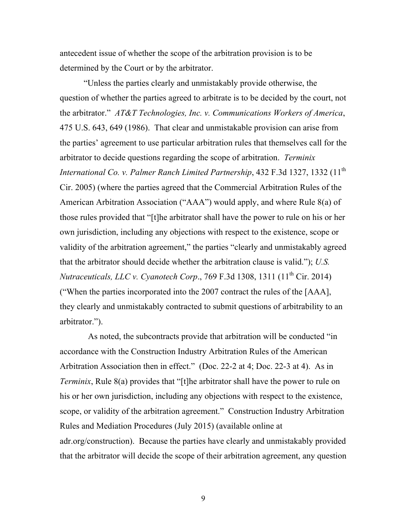antecedent issue of whether the scope of the arbitration provision is to be determined by the Court or by the arbitrator.

"Unless the parties clearly and unmistakably provide otherwise, the question of whether the parties agreed to arbitrate is to be decided by the court, not the arbitrator." *AT&T Technologies, Inc. v. Communications Workers of America*, 475 U.S. 643, 649 (1986). That clear and unmistakable provision can arise from the parties' agreement to use particular arbitration rules that themselves call for the arbitrator to decide questions regarding the scope of arbitration. *Terminix International Co. v. Palmer Ranch Limited Partnership*, 432 F.3d 1327, 1332 (11<sup>th</sup> Cir. 2005) (where the parties agreed that the Commercial Arbitration Rules of the American Arbitration Association ("AAA") would apply, and where Rule 8(a) of those rules provided that "[t]he arbitrator shall have the power to rule on his or her own jurisdiction, including any objections with respect to the existence, scope or validity of the arbitration agreement," the parties "clearly and unmistakably agreed that the arbitrator should decide whether the arbitration clause is valid."); *U.S. Nutraceuticals, LLC v. Cyanotech Corp.*, 769 F.3d 1308, 1311 (11<sup>th</sup> Cir. 2014) ("When the parties incorporated into the 2007 contract the rules of the [AAA], they clearly and unmistakably contracted to submit questions of arbitrability to an arbitrator.").

 As noted, the subcontracts provide that arbitration will be conducted "in accordance with the Construction Industry Arbitration Rules of the American Arbitration Association then in effect." (Doc. 22-2 at 4; Doc. 22-3 at 4). As in *Terminix*, Rule 8(a) provides that "[t]he arbitrator shall have the power to rule on his or her own jurisdiction, including any objections with respect to the existence, scope, or validity of the arbitration agreement." Construction Industry Arbitration Rules and Mediation Procedures (July 2015) (available online at adr.org/construction). Because the parties have clearly and unmistakably provided that the arbitrator will decide the scope of their arbitration agreement, any question

9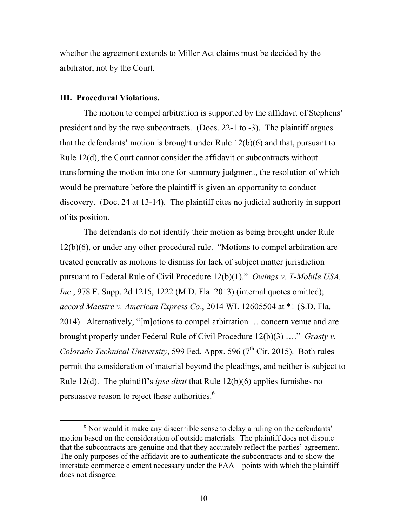whether the agreement extends to Miller Act claims must be decided by the arbitrator, not by the Court.

### **III. Procedural Violations.**

The motion to compel arbitration is supported by the affidavit of Stephens' president and by the two subcontracts. (Docs. 22-1 to -3). The plaintiff argues that the defendants' motion is brought under Rule 12(b)(6) and that, pursuant to Rule 12(d), the Court cannot consider the affidavit or subcontracts without transforming the motion into one for summary judgment, the resolution of which would be premature before the plaintiff is given an opportunity to conduct discovery. (Doc. 24 at 13-14). The plaintiff cites no judicial authority in support of its position.

The defendants do not identify their motion as being brought under Rule 12(b)(6), or under any other procedural rule. "Motions to compel arbitration are treated generally as motions to dismiss for lack of subject matter jurisdiction pursuant to Federal Rule of Civil Procedure 12(b)(1)." *Owings v. T-Mobile USA, Inc*., 978 F. Supp. 2d 1215, 1222 (M.D. Fla. 2013) (internal quotes omitted); *accord Maestre v. American Express Co*., 2014 WL 12605504 at \*1 (S.D. Fla. 2014). Alternatively, "[m]otions to compel arbitration … concern venue and are brought properly under Federal Rule of Civil Procedure 12(b)(3) …." *Grasty v. Colorado Technical University*, 599 Fed. Appx. 596 (7<sup>th</sup> Cir. 2015). Both rules permit the consideration of material beyond the pleadings, and neither is subject to Rule 12(d). The plaintiff's *ipse dixit* that Rule 12(b)(6) applies furnishes no persuasive reason to reject these authorities.<sup>6</sup>

 $6$  Nor would it make any discernible sense to delay a ruling on the defendants' motion based on the consideration of outside materials. The plaintiff does not dispute that the subcontracts are genuine and that they accurately reflect the parties' agreement. The only purposes of the affidavit are to authenticate the subcontracts and to show the interstate commerce element necessary under the FAA – points with which the plaintiff does not disagree.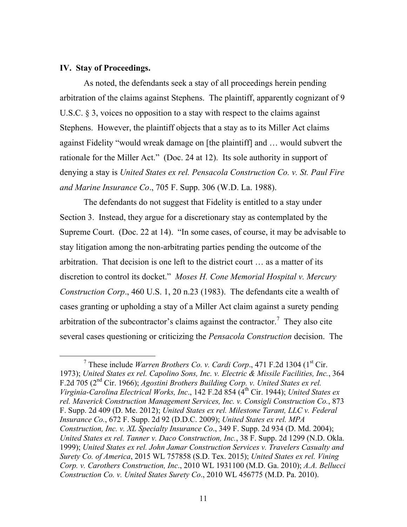#### **IV. Stay of Proceedings.**

As noted, the defendants seek a stay of all proceedings herein pending arbitration of the claims against Stephens. The plaintiff, apparently cognizant of 9 U.S.C. § 3, voices no opposition to a stay with respect to the claims against Stephens. However, the plaintiff objects that a stay as to its Miller Act claims against Fidelity "would wreak damage on [the plaintiff] and … would subvert the rationale for the Miller Act." (Doc. 24 at 12). Its sole authority in support of denying a stay is *United States ex rel. Pensacola Construction Co. v. St. Paul Fire and Marine Insurance Co*., 705 F. Supp. 306 (W.D. La. 1988).

The defendants do not suggest that Fidelity is entitled to a stay under Section 3. Instead, they argue for a discretionary stay as contemplated by the Supreme Court. (Doc. 22 at 14). "In some cases, of course, it may be advisable to stay litigation among the non-arbitrating parties pending the outcome of the arbitration. That decision is one left to the district court … as a matter of its discretion to control its docket." *Moses H. Cone Memorial Hospital v. Mercury Construction Corp*., 460 U.S. 1, 20 n.23 (1983). The defendants cite a wealth of cases granting or upholding a stay of a Miller Act claim against a surety pending arbitration of the subcontractor's claims against the contractor.<sup>7</sup> They also cite several cases questioning or criticizing the *Pensacola Construction* decision. The

<sup>&</sup>lt;sup>7</sup> These include *Warren Brothers Co. v. Cardi Corp.*, 471 F.2d 1304 (1<sup>st</sup> Cir. 1973); *United States ex rel. Capolino Sons, Inc. v. Electric & Missile Facilities, Inc.*, 364 F.2d 705 (2nd Cir. 1966); *Agostini Brothers Building Corp. v. United States ex rel. Virginia-Carolina Electrical Works, Inc*., 142 F.2d 854 (4th Cir. 1944); *United States ex rel. Maverick Construction Management Services, Inc. v. Consigli Construction Co.*, 873 F. Supp. 2d 409 (D. Me. 2012); *United States ex rel. Milestone Tarant, LLC v. Federal Insurance Co.*, 672 F. Supp. 2d 92 (D.D.C. 2009); *United States ex rel. MPA Construction, Inc. v. XL Specialty Insurance Co*., 349 F. Supp. 2d 934 (D. Md. 2004); *United States ex rel. Tanner v. Daco Construction, Inc.*, 38 F. Supp. 2d 1299 (N.D. Okla. 1999); *United States ex rel. John Jamar Construction Services v. Travelers Casualty and Surety Co. of America*, 2015 WL 757858 (S.D. Tex. 2015); *United States ex rel. Vining Corp. v. Carothers Construction, Inc*., 2010 WL 1931100 (M.D. Ga. 2010); *A.A. Bellucci Construction Co. v. United States Surety Co*., 2010 WL 456775 (M.D. Pa. 2010).